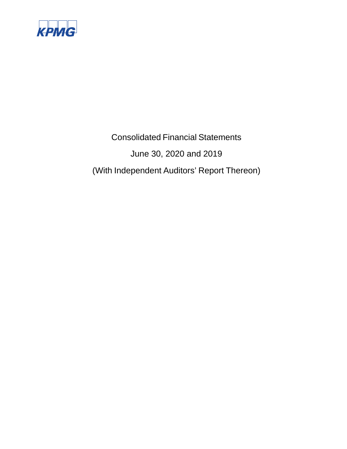

# Consolidated Financial Statements June 30, 2020 and 2019 (With Independent Auditors' Report Thereon)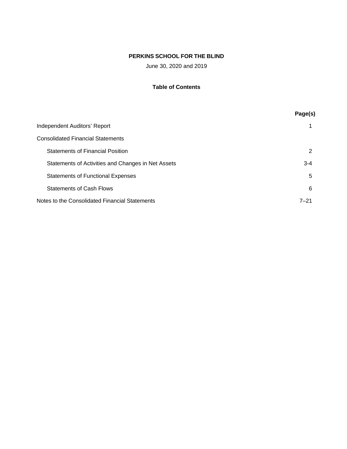June 30, 2020 and 2019

# **Table of Contents**

|                                                    | Page(s)  |
|----------------------------------------------------|----------|
| Independent Auditors' Report                       |          |
| <b>Consolidated Financial Statements</b>           |          |
| <b>Statements of Financial Position</b>            | 2        |
| Statements of Activities and Changes in Net Assets | $3 - 4$  |
| <b>Statements of Functional Expenses</b>           | 5        |
| <b>Statements of Cash Flows</b>                    | 6        |
| Notes to the Consolidated Financial Statements     | $7 - 21$ |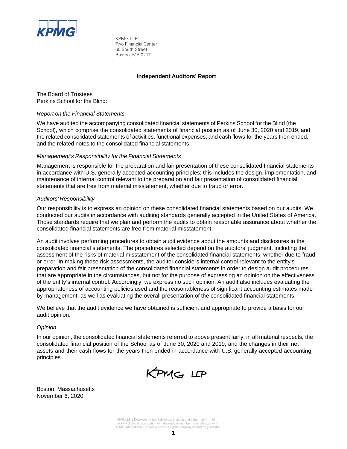

KPMG LLP Two Financial Center 60 South Street Boston, MA 02111

#### **Independent Auditors' Report**

The Board of Trustees Perkins School for the Blind:

#### *Report on the Financial Statements*

We have audited the accompanying consolidated financial statements of Perkins School for the Blind (the School), which comprise the consolidated statements of financial position as of June 30, 2020 and 2019, and the related consolidated statements of activities, functional expenses, and cash flows for the years then ended, and the related notes to the consolidated financial statements.

#### *Management's Responsibility for the Financial Statements*

Management is responsible for the preparation and fair presentation of these consolidated financial statements in accordance with U.S. generally accepted accounting principles; this includes the design, implementation, and maintenance of internal control relevant to the preparation and fair presentation of consolidated financial statements that are free from material misstatement, whether due to fraud or error.

#### *Auditors' Responsibility*

Our responsibility is to express an opinion on these consolidated financial statements based on our audits. We conducted our audits in accordance with auditing standards generally accepted in the United States of America. Those standards require that we plan and perform the audits to obtain reasonable assurance about whether the consolidated financial statements are free from material misstatement.

An audit involves performing procedures to obtain audit evidence about the amounts and disclosures in the consolidated financial statements. The procedures selected depend on the auditors' judgment, including the assessment of the risks of material misstatement of the consolidated financial statements, whether due to fraud or error. In making those risk assessments, the auditor considers internal control relevant to the entity's preparation and fair presentation of the consolidated financial statements in order to design audit procedures that are appropriate in the circumstances, but not for the purpose of expressing an opinion on the effectiveness of the entity's internal control. Accordingly, we express no such opinion. An audit also includes evaluating the appropriateness of accounting policies used and the reasonableness of significant accounting estimates made by management, as well as evaluating the overall presentation of the consolidated financial statements.

We believe that the audit evidence we have obtained is sufficient and appropriate to provide a basis for our audit opinion.

#### *Opinion*

In our opinion, the consolidated financial statements referred to above present fairly, in all material respects, the consolidated financial position of the School as of June 30, 2020 and 2019, and the changes in their net assets and their cash flows for the years then ended in accordance with U.S. generally accepted accounting principles.



Boston, Massachusetts November 6, 2020

> KPMG LLP, a Delaware limited liability partnership and a member firm of the KPMG global organization of independent member firms affiliated with KPMG International Limited, a private English company limited by guarantee.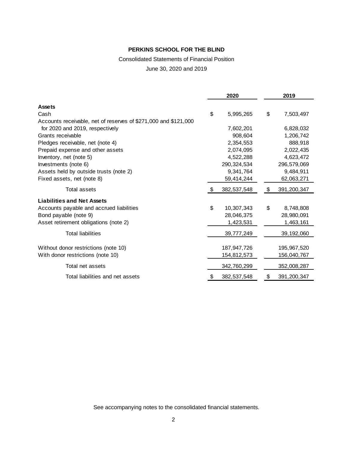#### Consolidated Statements of Financial Position

June 30, 2020 and 2019

|                                                                 | 2020 |             | 2019              |  |
|-----------------------------------------------------------------|------|-------------|-------------------|--|
| <b>Assets</b>                                                   |      |             |                   |  |
| Cash                                                            | \$   | 5,995,265   | \$<br>7,503,497   |  |
| Accounts receivable, net of reserves of \$271,000 and \$121,000 |      |             |                   |  |
| for 2020 and 2019, respectively                                 |      | 7,602,201   | 6,828,032         |  |
| Grants receivable                                               |      | 908,604     | 1,206,742         |  |
| Pledges receivable, net (note 4)                                |      | 2,354,553   | 888,918           |  |
| Prepaid expense and other assets                                |      | 2,074,095   | 2,022,435         |  |
| Inventory, net (note 5)                                         |      | 4,522,288   | 4,623,472         |  |
| Investments (note 6)                                            |      | 290,324,534 | 296,579,069       |  |
| Assets held by outside trusts (note 2)                          |      | 9,341,764   | 9,484,911         |  |
| Fixed assets, net (note 8)                                      |      | 59,414,244  | 62,063,271        |  |
| <b>Total assets</b>                                             | \$.  | 382,537,548 | \$<br>391,200,347 |  |
| <b>Liabilities and Net Assets</b>                               |      |             |                   |  |
| Accounts payable and accrued liabilities                        | \$   | 10,307,343  | \$<br>8,748,808   |  |
| Bond payable (note 9)                                           |      | 28,046,375  | 28,980,091        |  |
| Asset retirement obligations (note 2)                           |      | 1,423,531   | 1,463,161         |  |
| <b>Total liabilities</b>                                        |      | 39,777,249  | 39,192,060        |  |
|                                                                 |      |             |                   |  |
| Without donor restrictions (note 10)                            |      | 187,947,726 | 195,967,520       |  |
| With donor restrictions (note 10)                               |      | 154,812,573 | 156,040,767       |  |
| Total net assets                                                |      | 342,760,299 | 352,008,287       |  |
| Total liabilities and net assets                                | \$   | 382,537,548 | \$<br>391,200,347 |  |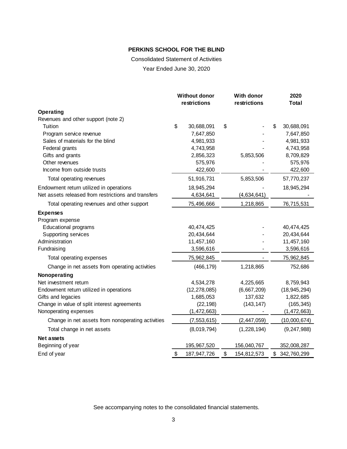Consolidated Statement of Activities

Year Ended June 30, 2020

|                                                     | <b>Without donor</b><br>restrictions |                | With donor<br>restrictions |               | 2020<br><b>Total</b> |
|-----------------------------------------------------|--------------------------------------|----------------|----------------------------|---------------|----------------------|
| <b>Operating</b>                                    |                                      |                |                            |               |                      |
| Revenues and other support (note 2)                 |                                      |                |                            |               |                      |
| Tuition                                             | \$                                   | 30,688,091     | \$                         |               | \$<br>30,688,091     |
| Program service revenue                             |                                      | 7,647,850      |                            |               | 7,647,850            |
| Sales of materials for the blind                    |                                      | 4,981,933      |                            |               | 4,981,933            |
| Federal grants                                      |                                      | 4,743,958      |                            |               | 4,743,958            |
| Gifts and grants                                    |                                      | 2,856,323      |                            | 5,853,506     | 8,709,829            |
| Other revenues                                      |                                      | 575,976        |                            |               | 575,976              |
| Income from outside trusts                          |                                      | 422,600        |                            |               | 422,600              |
| Total operating revenues                            |                                      | 51,916,731     |                            | 5,853,506     | 57,770,237           |
| Endowment return utilized in operations             |                                      | 18,945,294     |                            |               | 18,945,294           |
| Net assets released from restrictions and transfers |                                      | 4,634,641      |                            | (4,634,641)   |                      |
| Total operating revenues and other support          |                                      | 75,496,666     |                            | 1,218,865     | 76,715,531           |
| <b>Expenses</b>                                     |                                      |                |                            |               |                      |
| Program expense                                     |                                      |                |                            |               |                      |
| <b>Educational programs</b>                         |                                      | 40,474,425     |                            |               | 40,474,425           |
| Supporting services                                 |                                      | 20,434,644     |                            |               | 20,434,644           |
| Administration                                      |                                      | 11,457,160     |                            |               | 11,457,160           |
| Fundraising                                         |                                      | 3,596,616      |                            |               | 3,596,616            |
| Total operating expenses                            |                                      | 75,962,845     |                            |               | 75,962,845           |
| Change in net assets from operating activities      |                                      | (466, 179)     |                            | 1,218,865     | 752,686              |
| Nonoperating                                        |                                      |                |                            |               |                      |
| Net investment return                               |                                      | 4,534,278      |                            | 4,225,665     | 8,759,943            |
| Endowment return utilized in operations             |                                      | (12, 278, 085) |                            | (6,667,209)   | (18, 945, 294)       |
| Gifts and legacies                                  |                                      | 1,685,053      |                            | 137,632       | 1,822,685            |
| Change in value of split interest agreements        |                                      | (22, 198)      |                            | (143, 147)    | (165, 345)           |
| Nonoperating expenses                               |                                      | (1, 472, 663)  |                            |               | (1,472,663)          |
| Change in net assets from nonoperating activities   |                                      | (7, 553, 615)  |                            | (2, 447, 059) | (10,000,674)         |
| Total change in net assets                          |                                      | (8,019,794)    |                            | (1, 228, 194) | (9, 247, 988)        |
| <b>Net assets</b>                                   |                                      |                |                            |               |                      |
| Beginning of year                                   |                                      | 195,967,520    |                            | 156,040,767   | 352,008,287          |
| End of year                                         | \$                                   | 187,947,726    | \$                         | 154,812,573   | \$<br>342,760,299    |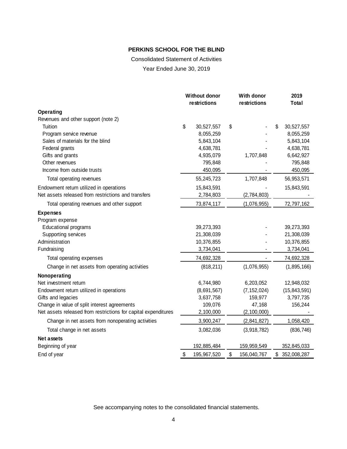Consolidated Statement of Activities

Year Ended June 30, 2019

|                                                                | <b>Without donor</b><br>restrictions |             | With donor<br>restrictions |               | 2019<br><b>Total</b> |
|----------------------------------------------------------------|--------------------------------------|-------------|----------------------------|---------------|----------------------|
| <b>Operating</b>                                               |                                      |             |                            |               |                      |
| Revenues and other support (note 2)                            |                                      |             |                            |               |                      |
| Tuition                                                        | \$                                   | 30,527,557  | \$                         |               | \$<br>30,527,557     |
| Program service revenue                                        |                                      | 8,055,259   |                            |               | 8,055,259            |
| Sales of materials for the blind                               |                                      | 5,843,104   |                            |               | 5,843,104            |
| Federal grants                                                 |                                      | 4,638,781   |                            |               | 4,638,781            |
| Gifts and grants                                               |                                      | 4,935,079   |                            | 1,707,848     | 6,642,927            |
| Other revenues                                                 |                                      | 795,848     |                            |               | 795,848              |
| Income from outside trusts                                     |                                      | 450,095     |                            |               | 450,095              |
| Total operating revenues                                       |                                      | 55,245,723  |                            | 1,707,848     | 56,953,571           |
| Endowment return utilized in operations                        |                                      | 15,843,591  |                            |               | 15,843,591           |
| Net assets released from restrictions and transfers            |                                      | 2,784,803   |                            | (2,784,803)   |                      |
| Total operating revenues and other support                     |                                      | 73,874,117  |                            | (1,076,955)   | 72,797,162           |
| <b>Expenses</b>                                                |                                      |             |                            |               |                      |
| Program expense                                                |                                      |             |                            |               |                      |
| Educational programs                                           |                                      | 39,273,393  |                            |               | 39,273,393           |
| Supporting services                                            |                                      | 21,308,039  |                            |               | 21,308,039           |
| Administration                                                 |                                      | 10,376,855  |                            |               | 10,376,855           |
| Fundraising                                                    |                                      | 3,734,041   |                            |               | 3,734,041            |
| Total operating expenses                                       |                                      | 74,692,328  |                            |               | 74,692,328           |
| Change in net assets from operating activities                 |                                      | (818, 211)  |                            | (1,076,955)   | (1,895,166)          |
| Nonoperating                                                   |                                      |             |                            |               |                      |
| Net investment return                                          |                                      | 6,744,980   |                            | 6,203,052     | 12,948,032           |
| Endowment return utilized in operations                        |                                      | (8,691,567) |                            | (7, 152, 024) | (15, 843, 591)       |
| Gifts and legacies                                             |                                      | 3,637,758   |                            | 159,977       | 3,797,735            |
| Change in value of split interest agreements                   |                                      | 109,076     |                            | 47,168        | 156,244              |
| Net assets released from restrictions for capital expenditures |                                      | 2,100,000   |                            | (2, 100, 000) |                      |
| Change in net assets from nonoperating activities              |                                      | 3,900,247   |                            | (2,841,827)   | 1,058,420            |
| Total change in net assets                                     |                                      | 3,082,036   |                            | (3,918,782)   | (836, 746)           |
| Net assets                                                     |                                      |             |                            |               |                      |
| Beginning of year                                              |                                      | 192,885,484 |                            | 159,959,549   | 352,845,033          |
| End of year                                                    | \$                                   | 195,967,520 | \$                         | 156,040,767   | \$<br>352,008,287    |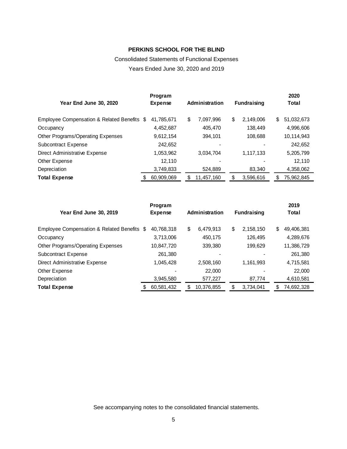# Consolidated Statements of Functional Expenses

Years Ended June 30, 2020 and 2019

| Year End June 30, 2020                      | Program<br><b>Expense</b> | Administration    | <b>Fundraising</b> | 2020<br>Total   |
|---------------------------------------------|---------------------------|-------------------|--------------------|-----------------|
| Employee Compensation & Related Benefits \$ | 41,785,671                | S<br>7,097,996    | \$<br>2,149,006    | 51,032,673<br>S |
| Occupancy                                   | 4,452,687                 | 405,470           | 138,449            | 4,996,606       |
| Other Programs/Operating Expenses           | 9,612,154                 | 394.101           | 108,688            | 10,114,943      |
| Subcontract Expense                         | 242,652                   |                   |                    | 242,652         |
| Direct Administrative Expense               | 1,053,962                 | 3,034,704         | 1,117,133          | 5,205,799       |
| Other Expense                               | 12,110                    |                   |                    | 12,110          |
| Depreciation                                | 3,749,833                 | 524,889           | 83,340             | 4,358,062       |
| <b>Total Expense</b>                        | 60,909,069                | 11,457,160<br>\$. | 3,596,616<br>S     | 75,962,845<br>S |

| Year End June 30, 2019                      | Program<br><b>Expense</b> | Administration  | <b>Fundraising</b> | 2019<br><b>Total</b> |
|---------------------------------------------|---------------------------|-----------------|--------------------|----------------------|
| Employee Compensation & Related Benefits \$ | 40,768,318                | 6,479,913<br>\$ | 2,158,150<br>\$    | 49,406,381<br>\$     |
| Occupancy                                   | 3,713,006                 | 450,175         | 126,495            | 4,289,676            |
| Other Programs/Operating Expenses           | 10,847,720                | 339.380         | 199,629            | 11,386,729           |
| Subcontract Expense                         | 261.380                   |                 |                    | 261,380              |
| Direct Administrative Expense               | 1,045,428                 | 2,508,160       | 1,161,993          | 4,715,581            |
| Other Expense                               |                           | 22,000          |                    | 22,000               |
| Depreciation                                | 3,945,580                 | 577,227         | 87,774             | 4,610,581            |
| <b>Total Expense</b>                        | 60,581,432                | 10,376,855<br>S | 3,734,041          | 74,692,328           |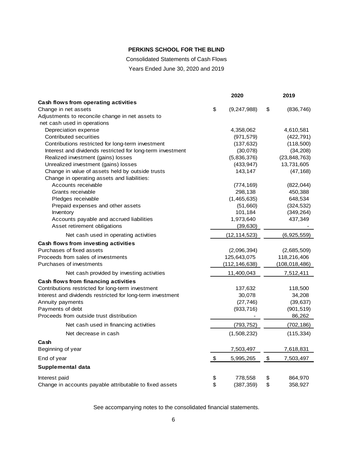Consolidated Statements of Cash Flows

Years Ended June 30, 2020 and 2019

|                                                            |                           | 2020            |                   | 2019            |
|------------------------------------------------------------|---------------------------|-----------------|-------------------|-----------------|
| Cash flows from operating activities                       |                           |                 |                   |                 |
| Change in net assets                                       | \$                        | (9, 247, 988)   | \$                | (836, 746)      |
| Adjustments to reconcile change in net assets to           |                           |                 |                   |                 |
| net cash used in operations                                |                           |                 |                   |                 |
| Depreciation expense                                       |                           | 4,358,062       |                   | 4,610,581       |
| <b>Contributed securities</b>                              |                           | (971, 579)      |                   | (422, 791)      |
| Contributions restricted for long-term investment          |                           | (137, 632)      |                   | (118,500)       |
| Interest and dividends restricted for long-term investment |                           | (30,078)        |                   | (34, 208)       |
| Realized investment (gains) losses                         |                           | (5,836,376)     |                   | (23, 848, 763)  |
| Unrealized investment (gains) losses                       |                           | (433, 947)      |                   | 13,731,605      |
| Change in value of assets held by outside trusts           |                           | 143,147         |                   | (47, 168)       |
| Change in operating assets and liabilities:                |                           |                 |                   |                 |
| Accounts receivable                                        |                           | (774, 169)      |                   | (822, 044)      |
| Grants receivable                                          |                           | 298,138         |                   | 450,388         |
| Pledges receivable                                         |                           | (1,465,635)     |                   | 648,534         |
| Prepaid expenses and other assets                          |                           | (51,660)        |                   | (324, 532)      |
| Inventory                                                  |                           | 101,184         |                   | (349, 264)      |
| Accounts payable and accrued liabilities                   |                           | 1,973,640       |                   | 437,349         |
| Asset retirement obligations                               |                           | (39, 630)       |                   |                 |
| Net cash used in operating activities                      |                           | (12, 114, 523)  |                   | (6,925,559)     |
| Cash flows from investing activities                       |                           |                 |                   |                 |
| Purchases of fixed assets                                  |                           | (2,096,394)     |                   | (2,685,509)     |
| Proceeds from sales of investments                         |                           | 125,643,075     |                   | 118,216,406     |
| Purchases of investments                                   |                           | (112, 146, 638) |                   | (108, 018, 486) |
| Net cash provided by investing activities                  |                           | 11,400,043      |                   | 7,512,411       |
| Cash flows from financing activities                       |                           |                 |                   |                 |
| Contributions restricted for long-term investment          |                           | 137,632         |                   | 118,500         |
| Interest and dividends restricted for long-term investment |                           | 30,078          |                   | 34,208          |
| Annuity payments                                           |                           | (27, 746)       |                   | (39, 637)       |
| Payments of debt                                           |                           | (933, 716)      |                   | (901, 519)      |
| Proceeds from outside trust distribution                   |                           |                 |                   | 86,262          |
| Net cash used in financing activities                      |                           | (793, 752)      |                   | (702, 186)      |
| Net decrease in cash                                       |                           | (1,508,232)     |                   | (115, 334)      |
| Cash                                                       |                           |                 |                   |                 |
| Beginning of year                                          |                           | 7,503,497       |                   | 7,618,831       |
| End of year                                                | $\boldsymbol{\mathsf{S}}$ | 5,995,265       | $\boldsymbol{\$}$ | 7,503,497       |
| Supplemental data                                          |                           |                 |                   |                 |
| Interest paid                                              | \$                        | 778,558         | \$                | 864,970         |
| Change in accounts payable attributable to fixed assets    | \$                        | (387, 359)      | \$                | 358,927         |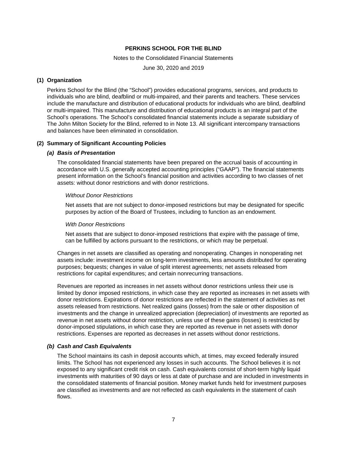Notes to the Consolidated Financial Statements

June 30, 2020 and 2019

#### **(1) Organization**

Perkins School for the Blind (the "School") provides educational programs, services, and products to individuals who are blind, deafblind or multi-impaired, and their parents and teachers. These services include the manufacture and distribution of educational products for individuals who are blind, deafblind or multi-impaired. This manufacture and distribution of educational products is an integral part of the School's operations. The School's consolidated financial statements include a separate subsidiary of The John Milton Society for the Blind, referred to in Note 13. All significant intercompany transactions and balances have been eliminated in consolidation.

#### **(2) Summary of Significant Accounting Policies**

#### *(a) Basis of Presentation*

The consolidated financial statements have been prepared on the accrual basis of accounting in accordance with U.S. generally accepted accounting principles ("GAAP"). The financial statements present information on the School's financial position and activities according to two classes of net assets: without donor restrictions and with donor restrictions.

#### *Without Donor Restrictions*

Net assets that are not subject to donor-imposed restrictions but may be designated for specific purposes by action of the Board of Trustees, including to function as an endowment.

#### *With Donor Restrictions*

Net assets that are subject to donor-imposed restrictions that expire with the passage of time, can be fulfilled by actions pursuant to the restrictions, or which may be perpetual.

Changes in net assets are classified as operating and nonoperating. Changes in nonoperating net assets include: investment income on long-term investments, less amounts distributed for operating purposes; bequests; changes in value of split interest agreements; net assets released from restrictions for capital expenditures; and certain nonrecurring transactions.

Revenues are reported as increases in net assets without donor restrictions unless their use is limited by donor imposed restrictions, in which case they are reported as increases in net assets with donor restrictions. Expirations of donor restrictions are reflected in the statement of activities as net assets released from restrictions. Net realized gains (losses) from the sale or other disposition of investments and the change in unrealized appreciation (depreciation) of investments are reported as revenue in net assets without donor restriction, unless use of these gains (losses) is restricted by donor-imposed stipulations, in which case they are reported as revenue in net assets with donor restrictions. Expenses are reported as decreases in net assets without donor restrictions.

# *(b) Cash and Cash Equivalents*

The School maintains its cash in deposit accounts which, at times, may exceed federally insured limits. The School has not experienced any losses in such accounts. The School believes it is not exposed to any significant credit risk on cash. Cash equivalents consist of short-term highly liquid investments with maturities of 90 days or less at date of purchase and are included in investments in the consolidated statements of financial position. Money market funds held for investment purposes are classified as investments and are not reflected as cash equivalents in the statement of cash flows.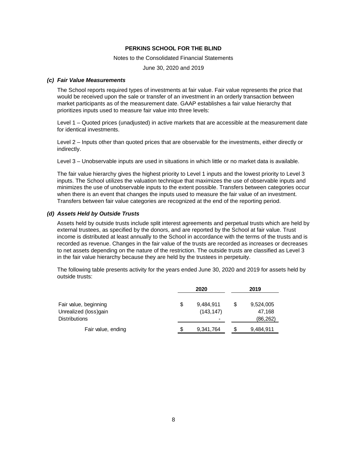Notes to the Consolidated Financial Statements

June 30, 2020 and 2019

#### *(c) Fair Value Measurements*

The School reports required types of investments at fair value. Fair value represents the price that would be received upon the sale or transfer of an investment in an orderly transaction between market participants as of the measurement date. GAAP establishes a fair value hierarchy that prioritizes inputs used to measure fair value into three levels:

Level 1 – Quoted prices (unadjusted) in active markets that are accessible at the measurement date for identical investments.

Level 2 – Inputs other than quoted prices that are observable for the investments, either directly or indirectly.

Level 3 – Unobservable inputs are used in situations in which little or no market data is available.

The fair value hierarchy gives the highest priority to Level 1 inputs and the lowest priority to Level 3 inputs. The School utilizes the valuation technique that maximizes the use of observable inputs and minimizes the use of unobservable inputs to the extent possible. Transfers between categories occur when there is an event that changes the inputs used to measure the fair value of an investment. Transfers between fair value categories are recognized at the end of the reporting period.

#### *(d) Assets Held by Outside Trusts*

Assets held by outside trusts include split interest agreements and perpetual trusts which are held by external trustees, as specified by the donors, and are reported by the School at fair value. Trust income is distributed at least annually to the School in accordance with the terms of the trusts and is recorded as revenue. Changes in the fair value of the trusts are recorded as increases or decreases to net assets depending on the nature of the restriction. The outside trusts are classified as Level 3 in the fair value hierarchy because they are held by the trustees in perpetuity.

The following table presents activity for the years ended June 30, 2020 and 2019 for assets held by outside trusts:

|                       |    | 2020           | 2019 |           |  |
|-----------------------|----|----------------|------|-----------|--|
| Fair value, beginning | \$ | 9,484,911      | S    | 9,524,005 |  |
| Unrealized (loss)gain |    | (143, 147)     |      | 47,168    |  |
| <b>Distributions</b>  |    | $\blacksquare$ |      | (86, 262) |  |
| Fair value, ending    | S  | 9,341,764      | S    | 9,484,911 |  |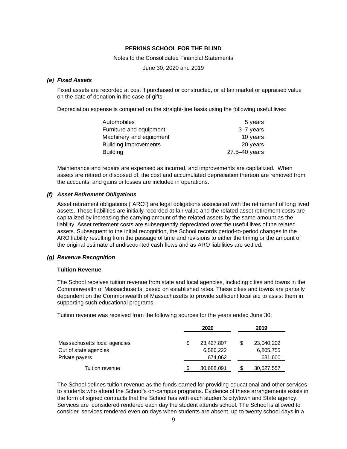Notes to the Consolidated Financial Statements

June 30, 2020 and 2019

#### *(e) Fixed Assets*

Fixed assets are recorded at cost if purchased or constructed, or at fair market or appraised value on the date of donation in the case of gifts.

Depreciation expense is computed on the straight-line basis using the following useful lives:

| Automobiles                  | 5 years       |
|------------------------------|---------------|
| Furniture and equipment      | 3-7 years     |
| Machinery and equipment      | 10 years      |
| <b>Building improvements</b> | 20 years      |
| <b>Building</b>              | 27.5–40 years |

Maintenance and repairs are expensed as incurred, and improvements are capitalized. When assets are retired or disposed of, the cost and accumulated depreciation thereon are removed from the accounts, and gains or losses are included in operations.

#### *(f) Asset Retirement Obligations*

Asset retirement obligations ("ARO") are legal obligations associated with the retirement of long lived assets. These liabilities are initially recorded at fair value and the related asset retirement costs are capitalized by increasing the carrying amount of the related assets by the same amount as the liability. Asset retirement costs are subsequently depreciated over the useful lives of the related assets. Subsequent to the initial recognition, the School records period-to-period changes in the ARO liability resulting from the passage of time and revisions to either the timing or the amount of the original estimate of undiscounted cash flows and as ARO liabilities are settled.

#### *(g) Revenue Recognition*

#### **Tuition Revenue**

The School receives tuition revenue from state and local agencies, including cities and towns in the Commonwealth of Massachusetts, based on established rates. These cities and towns are partially dependent on the Commonwealth of Massachusetts to provide sufficient local aid to assist them in supporting such educational programs.

Tuition revenue was received from the following sources for the years ended June 30:

|                              |   | 2020       |   | 2019       |  |
|------------------------------|---|------------|---|------------|--|
| Massachusetts local agencies | S | 23,427,807 | S | 23,040,202 |  |
| Out of state agencies        |   | 6,586,222  |   | 6,805,755  |  |
| Private payers               |   | 674,062    |   | 681,600    |  |
| Tuition revenue              | S | 30,688,091 | S | 30,527,557 |  |

The School defines tuition revenue as the funds earned for providing educational and other services to students who attend the School's on-campus programs. Evidence of these arrangements exists in the form of signed contracts that the School has with each student's city/town and State agency. Services are considered rendered each day the student attends school. The School is allowed to consider services rendered even on days when students are absent, up to twenty school days in a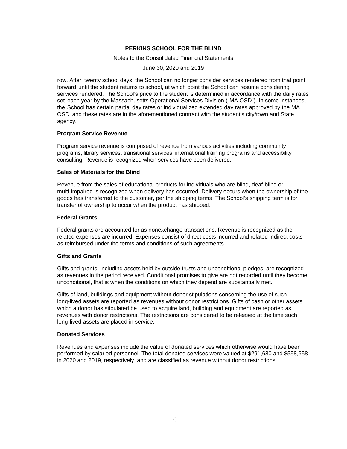Notes to the Consolidated Financial Statements

June 30, 2020 and 2019

row. After twenty school days, the School can no longer consider services rendered from that point forward until the student returns to school, at which point the School can resume considering services rendered. The School's price to the student is determined in accordance with the daily rates set each year by the Massachusetts Operational Services Division ("MA OSD"). In some instances, the School has certain partial day rates or individualized extended day rates approved by the MA OSD and these rates are in the aforementioned contract with the student's city/town and State agency.

#### **Program Service Revenue**

Program service revenue is comprised of revenue from various activities including community programs, library services, transitional services, international training programs and accessibility consulting. Revenue is recognized when services have been delivered.

#### **Sales of Materials for the Blind**

Revenue from the sales of educational products for individuals who are blind, deaf-blind or multi-impaired is recognized when delivery has occurred. Delivery occurs when the ownership of the goods has transferred to the customer, per the shipping terms. The School's shipping term is for transfer of ownership to occur when the product has shipped.

#### **Federal Grants**

Federal grants are accounted for as nonexchange transactions. Revenue is recognized as the related expenses are incurred. Expenses consist of direct costs incurred and related indirect costs as reimbursed under the terms and conditions of such agreements.

#### **Gifts and Grants**

Gifts and grants, including assets held by outside trusts and unconditional pledges, are recognized as revenues in the period received. Conditional promises to give are not recorded until they become unconditional, that is when the conditions on which they depend are substantially met.

Gifts of land, buildings and equipment without donor stipulations concerning the use of such long-lived assets are reported as revenues without donor restrictions. Gifts of cash or other assets which a donor has stipulated be used to acquire land, building and equipment are reported as revenues with donor restrictions. The restrictions are considered to be released at the time such long-lived assets are placed in service.

#### **Donated Services**

Revenues and expenses include the value of donated services which otherwise would have been performed by salaried personnel. The total donated services were valued at \$291,680 and \$558,658 in 2020 and 2019, respectively, and are classified as revenue without donor restrictions.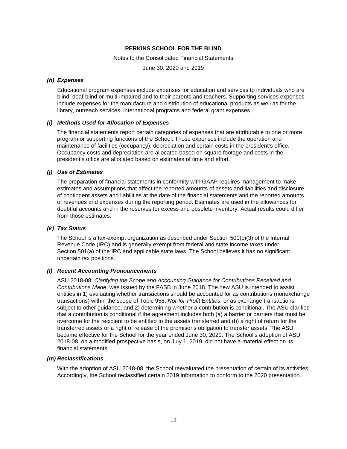Notes to the Consolidated Financial Statements

June 30, 2020 and 2019

#### *(h) Expenses*

Educational program expenses include expenses for education and services to individuals who are blind, deaf-blind or multi-impaired and to their parents and teachers. Supporting services expenses include expenses for the manufacture and distribution of educational products as well as for the library, outreach services, international programs and federal grant expenses.

#### *(i) Methods Used for Allocation of Expenses*

The financial statements report certain categories of expenses that are attributable to one or more program or supporting functions of the School. Those expenses include the operation and maintenance of facilities (occupancy), depreciation and certain costs in the president's office. Occupancy costs and depreciation are allocated based on square footage and costs in the president's office are allocated based on estimates of time and effort.

#### *(j) Use of Estimates*

The preparation of financial statements in conformity with GAAP requires management to make estimates and assumptions that affect the reported amounts of assets and liabilities and disclosure of contingent assets and liabilities at the date of the financial statements and the reported amounts of revenues and expenses during the reporting period. Estimates are used in the allowances for doubtful accounts and in the reserves for excess and obsolete inventory. Actual results could differ from those estimates.

# *(k) Tax Status*

The School is a tax-exempt organization as described under Section 501(c)(3) of the Internal Revenue Code (IRC) and is generally exempt from federal and state income taxes under Section 501(a) of the IRC and applicable state laws. The School believes it has no significant uncertain tax positions.

#### *(l) Recent Accounting Pronouncements*

ASU 2018-08: *Clarifying the Scope and Accounting Guidance for Contributions Received and Contributions Made*, was issued by the FASB in June 2018. The new ASU is intended to assist entities in 1) evaluating whether transactions should be accounted for as contributions (nonexchange transactions) within the scope of Topic 958: *Not-for-Profit Entities*, or as exchange transactions subject to other guidance, and 2) determining whether a contribution is conditional. The ASU clarifies that a contribution is conditional if the agreement includes both (a) a barrier or barriers that must be overcome for the recipient to be entitled to the assets transferred and (b) a right of return for the transferred assets or a right of release of the promisor's obligation to transfer assets. The ASU became effective for the School for the year ended June 30, 2020. The School's adoption of ASU 2018-08, on a modified prospective basis, on July 1, 2019, did not have a material effect on its financial statements.

#### *(m) Reclassifications*

With the adoption of ASU 2018-08, the School reevaluated the presentation of certain of its activities. Accordingly, the School reclassified certain 2019 information to conform to the 2020 presentation.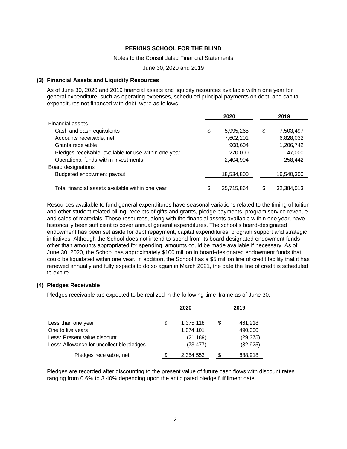Notes to the Consolidated Financial Statements

June 30, 2020 and 2019

#### **(3) Financial Assets and Liquidity Resources**

As of June 30, 2020 and 2019 financial assets and liquidity resources available within one year for general expenditure, such as operating expenses, scheduled principal payments on debt, and capital expenditures not financed with debt, were as follows:

|                                                       | 2020             | 2019             |
|-------------------------------------------------------|------------------|------------------|
| Financial assets                                      |                  |                  |
| Cash and cash equivalents                             | \$<br>5,995,265  | \$<br>7,503,497  |
| Accounts receivable, net                              | 7,602,201        | 6,828,032        |
| Grants receivable                                     | 908,604          | 1,206,742        |
| Pledges receivable, available for use within one year | 270,000          | 47.000           |
| Operational funds within investments                  | 2,404,994        | 258,442          |
| Board designations                                    |                  |                  |
| Budgeted endowment payout                             | 18,534,800       | 16,540,300       |
| Total financial assets available within one year      | \$<br>35,715,864 | \$<br>32,384,013 |

Resources available to fund general expenditures have seasonal variations related to the timing of tuition and other student related billing, receipts of gifts and grants, pledge payments, program service revenue and sales of materials. These resources, along with the financial assets available within one year, have historically been sufficient to cover annual general expenditures. The school's board-designated endowment has been set aside for debt repayment, capital expenditures, program support and strategic initiatives. Although the School does not intend to spend from its board-designated endowment funds other than amounts appropriated for spending, amounts could be made available if necessary. As of June 30, 2020, the School has approximately \$100 million in board-designated endowment funds that could be liquidated within one year. In addition, the School has a \$5 million line of credit facility that it has renewed annually and fully expects to do so again in March 2021, the date the line of credit is scheduled to expire.

#### **(4) Pledges Receivable**

Pledges receivable are expected to be realized in the following time frame as of June 30:

|                                           |    | 2020      |   | 2019      |  |  |
|-------------------------------------------|----|-----------|---|-----------|--|--|
| Less than one year                        | \$ | 1,375,118 | S | 461,218   |  |  |
| One to five years                         |    | 1,074,101 |   | 490,000   |  |  |
| Less: Present value discount              |    | (21, 189) |   | (29, 375) |  |  |
| Less: Allowance for uncollectible pledges |    | (73, 477) |   | (32, 925) |  |  |
| Pledges receivable, net                   | S  | 2,354,553 |   | 888,918   |  |  |

Pledges are recorded after discounting to the present value of future cash flows with discount rates ranging from 0.6% to 3.40% depending upon the anticipated pledge fulfillment date.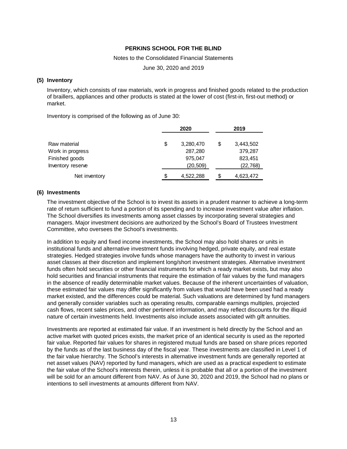Notes to the Consolidated Financial Statements

June 30, 2020 and 2019

#### **(5) Inventory**

Inventory, which consists of raw materials, work in progress and finished goods related to the production of braillers, appliances and other products is stated at the lower of cost (first-in, first-out method) or market.

Inventory is comprised of the following as of June 30:

|                   |    | 2020      | 2019 |           |  |  |
|-------------------|----|-----------|------|-----------|--|--|
| Raw material      | \$ | 3,280,470 | \$   | 3,443,502 |  |  |
| Work in progress  |    | 287,280   |      | 379,287   |  |  |
| Finished goods    |    | 975.047   |      | 823,451   |  |  |
| Inventory reserve |    | (20, 509) |      | (22, 768) |  |  |
| Net inventory     | S  | 4,522,288 | S    | 4,623,472 |  |  |

#### **(6) Investments**

The investment objective of the School is to invest its assets in a prudent manner to achieve a long-term rate of return sufficient to fund a portion of its spending and to increase investment value after inflation. The School diversifies its investments among asset classes by incorporating several strategies and managers. Major investment decisions are authorized by the School's Board of Trustees Investment Committee, who oversees the School's investments.

In addition to equity and fixed income investments, the School may also hold shares or units in institutional funds and alternative investment funds involving hedged, private equity, and real estate strategies. Hedged strategies involve funds whose managers have the authority to invest in various asset classes at their discretion and implement long/short investment strategies. Alternative investment funds often hold securities or other financial instruments for which a ready market exists, but may also hold securities and financial instruments that require the estimation of fair values by the fund managers in the absence of readily determinable market values. Because of the inherent uncertainties of valuation, these estimated fair values may differ significantly from values that would have been used had a ready market existed, and the differences could be material. Such valuations are determined by fund managers and generally consider variables such as operating results, comparable earnings multiples, projected cash flows, recent sales prices, and other pertinent information, and may reflect discounts for the illiquid nature of certain investments held. Investments also include assets associated with gift annuities.

Investments are reported at estimated fair value. If an investment is held directly by the School and an active market with quoted prices exists, the market price of an identical security is used as the reported fair value. Reported fair values for shares in registered mutual funds are based on share prices reported by the funds as of the last business day of the fiscal year. These investments are classified in Level 1 of the fair value hierarchy. The School's interests in alternative investment funds are generally reported at net asset values (NAV) reported by fund managers, which are used as a practical expedient to estimate the fair value of the School's interests therein, unless it is probable that all or a portion of the investment will be sold for an amount different from NAV. As of June 30, 2020 and 2019, the School had no plans or intentions to sell investments at amounts different from NAV.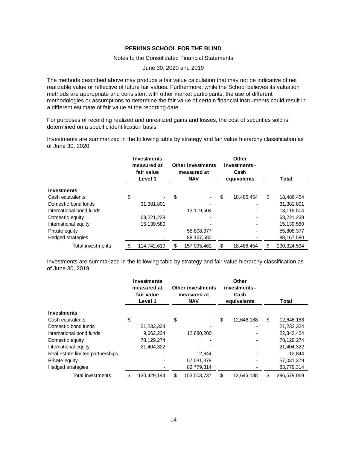Notes to the Consolidated Financial Statements

June 30, 2020 and 2019

The methods described above may produce a fair value calculation that may not be indicative of net realizable value or reflective of future fair values. Furthermore, while the School believes its valuation methods are appropriate and consistent with other market participants, the use of different methodologies or assumptions to determine the fair value of certain financial instruments could result in a different estimate of fair value at the reporting date.

For purposes of recording realized and unrealized gains and losses, the cost of securities sold is determined on a specific identification basis.

Investments are summarized in the following table by strategy and fair value hierarchy classification as of June 30, 2020:

|                          | <b>Investments</b><br>measured at<br>fair value<br>Level 1 |              | <b>Other investments</b><br>measured at<br><b>NAV</b> | Other<br>investments -<br>Cash<br>equivalents | Total            |
|--------------------------|------------------------------------------------------------|--------------|-------------------------------------------------------|-----------------------------------------------|------------------|
| Investments              |                                                            |              |                                                       |                                               |                  |
| Cash equivalents         | \$                                                         |              | \$                                                    | \$<br>18,486,454                              | \$<br>18,486,454 |
| Domestic bond funds      |                                                            | 31,381,801   |                                                       |                                               | 31.381.801       |
| International bond funds |                                                            |              | 13,119,504                                            |                                               | 13,119,504       |
| Domestic equity          |                                                            | 68,221,238   |                                                       |                                               | 68,221,238       |
| International equity     |                                                            | 15, 139, 580 |                                                       |                                               | 15,139,580       |
| Private equity           |                                                            |              | 55,808,377                                            |                                               | 55,808,377       |
| Hedged strategies        |                                                            |              | 88,167,580                                            |                                               | 88,167,580       |
| Total investments        |                                                            | 114,742,619  | \$<br>157,095,461                                     | \$<br>18,486,454                              | 290,324,534      |

Investments are summarized in the following table by strategy and fair value hierarchy classification as of June 30, 2019:

|                                  | <b>Investments</b><br>measured at<br>fair value<br>Level 1 |             | <b>Other investments</b><br>measured at<br><b>NAV</b> | Other<br>investments -<br>Cash<br>equivalents |    | <b>Total</b> |
|----------------------------------|------------------------------------------------------------|-------------|-------------------------------------------------------|-----------------------------------------------|----|--------------|
| Investments                      |                                                            |             |                                                       |                                               |    |              |
| Cash equivalents                 | \$                                                         |             | \$                                                    | \$<br>12,646,188                              | \$ | 12,646,188   |
| Domestic bond funds              |                                                            | 21,233,324  |                                                       |                                               |    | 21,233,324   |
| International bond funds         |                                                            | 9,662,224   | 12,680,200                                            |                                               |    | 22,342,424   |
| Domestic equity                  |                                                            | 78,129,274  |                                                       |                                               |    | 78,129,274   |
| International equity             |                                                            | 21,404,322  |                                                       |                                               |    | 21,404,322   |
| Real estate limited partnerships |                                                            |             | 12.844                                                |                                               |    | 12.844       |
| Private equity                   |                                                            |             | 57,031,379                                            |                                               |    | 57,031,379   |
| Hedged strategies                |                                                            |             | 83,779,314                                            |                                               |    | 83,779,314   |
| Total investments                |                                                            | 130,429,144 | \$<br>153,503,737                                     | \$<br>12,646,188                              | S  | 296,579,069  |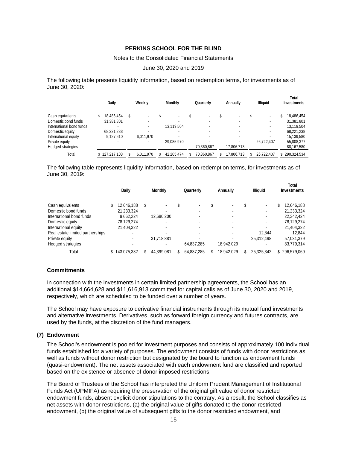Notes to the Consolidated Financial Statements

#### June 30, 2020 and 2019

The following table presents liquidity information, based on redemption terms, for investments as of June 30, 2020:

|                          | Daily                    | Weekly    | <b>Monthly</b>           | Quarterly      | Annually   | <b>Illiauid</b> |    | <b>Total</b><br><b>Investments</b> |
|--------------------------|--------------------------|-----------|--------------------------|----------------|------------|-----------------|----|------------------------------------|
| Cash equivalents         | 18.486.454               |           | $\overline{\phantom{a}}$ | $\blacksquare$ |            |                 | S  | 18,486,454                         |
| Domestic bond funds      | 31.381.801               |           |                          |                |            | ٠               |    | 31,381,801                         |
| International bond funds |                          |           | 13,119,504               |                |            | ۰               |    | 13.119.504                         |
| Domestic equity          | 68.221.238               |           |                          |                |            | ٠               |    | 68.221.238                         |
| International equity     | 9.127.610                | 6,011,970 |                          |                |            |                 |    | 15,139,580                         |
| Private equity           |                          |           | 29,085,970               |                |            | 26,722,407      |    | 55,808,377                         |
| Hedged strategies        | $\overline{\phantom{a}}$ |           |                          | 70.360.867     | 17.806.713 |                 |    | 88,167,580                         |
| Total                    | 127,217,103              | 6,011,970 | 42.205.474               | 70.360.867     | 17.806.713 | 26.722.407      | S. | 290,324,534                        |

The following table represents liquidity information, based on redemption terms, for investments as of June 30, 2019:

|                                  | <b>Daily</b> |   | <b>Monthly</b> |   | Quarterly  | Annually   | <b>Illiauid</b> | Total<br><b>Investments</b> |
|----------------------------------|--------------|---|----------------|---|------------|------------|-----------------|-----------------------------|
| Cash equivalents                 | 12.646.188   | S |                |   |            |            |                 | \$<br>12.646.188            |
| Domestic bond funds              | 21.233.324   |   |                |   |            |            |                 | 21.233.324                  |
| International bond funds         | 9.662.224    |   | 12,680,200     |   |            |            |                 | 22,342,424                  |
| Domestic equity                  | 78,129,274   |   |                |   |            |            |                 | 78.129.274                  |
| International equity             | 21,404,322   |   |                |   |            |            |                 | 21.404.322                  |
| Real estate limited partnerships |              |   |                |   |            |            | 12.844          | 12.844                      |
| Private equity                   |              |   | 31,718,881     |   |            |            | 25,312,498      | 57,031,379                  |
| <b>Hedged strategies</b>         |              |   |                |   | 64,837,285 | 18,942,029 |                 | 83,779,314                  |
| Total                            | 143,075,332  |   | 44,399,081     | S | 64,837,285 | 18,942,029 | 25,325,342      | \$296,579,069               |

#### **Commitments**

In connection with the investments in certain limited partnership agreements, the School has an additional \$14,664,628 and \$11,616,913 committed for capital calls as of June 30, 2020 and 2019, respectively, which are scheduled to be funded over a number of years.

The School may have exposure to derivative financial instruments through its mutual fund investments and alternative investments. Derivatives, such as forward foreign currency and futures contracts, are used by the funds, at the discretion of the fund managers.

#### **(7) Endowment**

The School's endowment is pooled for investment purposes and consists of approximately 100 individual funds established for a variety of purposes. The endowment consists of funds with donor restrictions as well as funds without donor restriction but designated by the board to function as endowment funds (quasi-endowment). The net assets associated with each endowment fund are classified and reported based on the existence or absence of donor imposed restrictions.

The Board of Trustees of the School has interpreted the Uniform Prudent Management of Institutional Funds Act (UPMIFA) as requiring the preservation of the original gift value of donor restricted endowment funds, absent explicit donor stipulations to the contrary. As a result, the School classifies as net assets with donor restrictions, (a) the original value of gifts donated to the donor restricted endowment, (b) the original value of subsequent gifts to the donor restricted endowment, and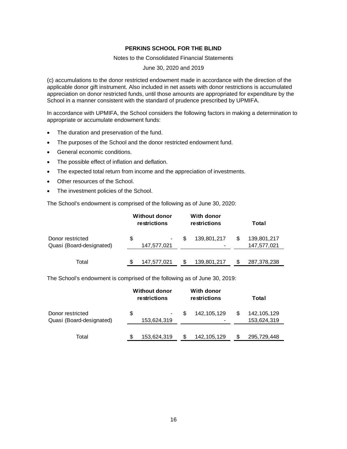Notes to the Consolidated Financial Statements

June 30, 2020 and 2019

(c) accumulations to the donor restricted endowment made in accordance with the direction of the applicable donor gift instrument. Also included in net assets with donor restrictions is accumulated appreciation on donor restricted funds, until those amounts are appropriated for expenditure by the School in a manner consistent with the standard of prudence prescribed by UPMIFA.

In accordance with UPMIFA, the School considers the following factors in making a determination to appropriate or accumulate endowment funds:

- The duration and preservation of the fund.
- The purposes of the School and the donor restricted endowment fund.
- General economic conditions.
- The possible effect of inflation and deflation.
- The expected total return from income and the appreciation of investments.
- Other resources of the School.
- The investment policies of the School.

The School's endowment is comprised of the following as of June 30, 2020:

|                                              | <b>Without donor</b><br>restrictions | With donor<br>restrictions    | Total                      |
|----------------------------------------------|--------------------------------------|-------------------------------|----------------------------|
| Donor restricted<br>Quasi (Board-designated) | \$<br>$\blacksquare$<br>147,577,021  | 139,801,217<br>$\blacksquare$ | 139,801,217<br>147,577,021 |
| Total                                        | 147,577,021                          | 139,801,217                   | 287,378,238                |

The School's endowment is comprised of the following as of June 30, 2019:

|                                              |    | <b>Without donor</b><br>restrictions | With donor<br>restrictions |   | Total                        |
|----------------------------------------------|----|--------------------------------------|----------------------------|---|------------------------------|
| Donor restricted<br>Quasi (Board-designated) | \$ | $\blacksquare$<br>153,624,319        | 142, 105, 129<br>$\,$      | S | 142, 105, 129<br>153,624,319 |
| Total                                        | S  | 153,624,319                          | 142, 105, 129              | S | 295,729,448                  |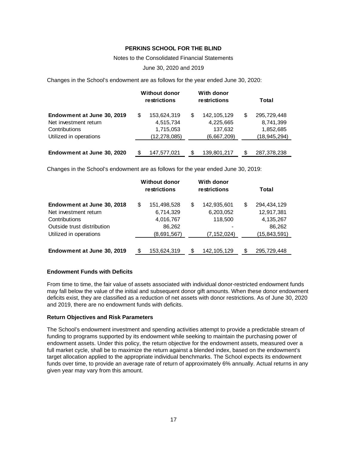Notes to the Consolidated Financial Statements

June 30, 2020 and 2019

Changes in the School's endowment are as follows for the year ended June 30, 2020:

|                                                                                                | <b>Without donor</b><br>restrictions                          | With donor<br>restrictions                                 |   | Total                                                   |
|------------------------------------------------------------------------------------------------|---------------------------------------------------------------|------------------------------------------------------------|---|---------------------------------------------------------|
| Endowment at June 30, 2019<br>Net investment return<br>Contributions<br>Utilized in operations | \$<br>153,624,319<br>4,515,734<br>1,715,053<br>(12, 278, 085) | \$<br>142, 105, 129<br>4,225,665<br>137,632<br>(6,667,209) | S | 295,729,448<br>8,741,399<br>1,852,685<br>(18, 945, 294) |
| Endowment at June 30, 2020                                                                     | \$<br>147,577,021                                             | \$<br>139,801,217                                          | S | 287,378,238                                             |

Changes in the School's endowment are as follows for the year ended June 30, 2019:

|                            | <b>Without donor</b><br>restrictions | With donor<br>restrictions |   | Total        |
|----------------------------|--------------------------------------|----------------------------|---|--------------|
| Endowment at June 30, 2018 | \$<br>151,498,528                    | \$<br>142,935,601          | S | 294,434,129  |
| Net investment return      | 6,714,329                            | 6,203,052                  |   | 12,917,381   |
| Contributions              | 4,016,767                            | 118,500                    |   | 4,135,267    |
| Outside trust distribution | 86,262                               |                            |   | 86,262       |
| Utilized in operations     | (8,691,567)                          | (7,152,024)                |   | (15,843,591) |
|                            |                                      |                            |   |              |
| Endowment at June 30, 2019 | \$<br>153,624,319                    | \$<br>142, 105, 129        |   | 295,729,448  |

# **Endowment Funds with Deficits**

From time to time, the fair value of assets associated with individual donor-restricted endowment funds may fall below the value of the initial and subsequent donor gift amounts. When these donor endowment deficits exist, they are classified as a reduction of net assets with donor restrictions. As of June 30, 2020 and 2019, there are no endowment funds with deficits.

#### **Return Objectives and Risk Parameters**

The School's endowment investment and spending activities attempt to provide a predictable stream of funding to programs supported by its endowment while seeking to maintain the purchasing power of endowment assets. Under this policy, the return objective for the endowment assets, measured over a full market cycle, shall be to maximize the return against a blended index, based on the endowment's target allocation applied to the appropriate individual benchmarks. The School expects its endowment funds over time, to provide an average rate of return of approximately 6% annually. Actual returns in any given year may vary from this amount.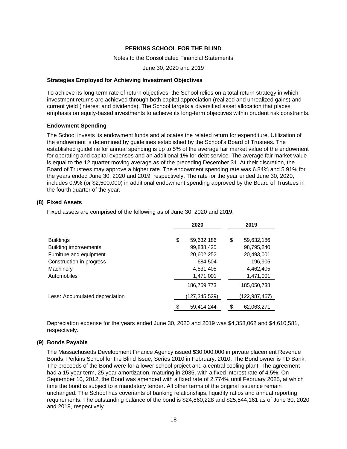Notes to the Consolidated Financial Statements

June 30, 2020 and 2019

#### **Strategies Employed for Achieving Investment Objectives**

To achieve its long-term rate of return objectives, the School relies on a total return strategy in which investment returns are achieved through both capital appreciation (realized and unrealized gains) and current yield (interest and dividends). The School targets a diversified asset allocation that places emphasis on equity-based investments to achieve its long-term objectives within prudent risk constraints.

#### **Endowment Spending**

The School invests its endowment funds and allocates the related return for expenditure. Utilization of the endowment is determined by guidelines established by the School's Board of Trustees. The established guideline for annual spending is up to 5% of the average fair market value of the endowment for operating and capital expenses and an additional 1% for debt service. The average fair market value is equal to the 12 quarter moving average as of the preceding December 31. At their discretion, the Board of Trustees may approve a higher rate. The endowment spending rate was 6.84% and 5.91% for the years ended June 30, 2020 and 2019, respectively. The rate for the year ended June 30, 2020, includes 0.9% (or \$2,500,000) in additional endowment spending approved by the Board of Trustees in the fourth quarter of the year.

#### **(8) Fixed Assets**

Fixed assets are comprised of the following as of June 30, 2020 and 2019:

|                                |    | 2020          | 2019             |
|--------------------------------|----|---------------|------------------|
| <b>Buildings</b>               | \$ | 59,632,186    | \$<br>59,632,186 |
| <b>Building improvements</b>   |    | 99,838,425    | 98,795,240       |
| Furniture and equipment        |    | 20,602,252    | 20,493,001       |
| Construction in progress       |    | 684,504       | 196,905          |
| Machinery                      |    | 4,531,405     | 4,462,405        |
| Automobiles                    |    | 1,471,001     | 1,471,001        |
|                                |    | 186,759,773   | 185,050,738      |
| Less: Accumulated depreciation |    | (127,345,529) | (122,987,467)    |
|                                | S  | 59,414,244    | \$<br>62,063,271 |

Depreciation expense for the years ended June 30, 2020 and 2019 was \$4,358,062 and \$4,610,581, respectively.

#### **(9) Bonds Payable**

The Massachusetts Development Finance Agency issued \$30,000,000 in private placement Revenue Bonds, Perkins School for the Blind Issue, Series 2010 in February, 2010. The Bond owner is TD Bank. The proceeds of the Bond were for a lower school project and a central cooling plant. The agreement had a 15 year term, 25 year amortization, maturing in 2035, with a fixed interest rate of 4.5%. On September 10, 2012, the Bond was amended with a fixed rate of 2.774% until February 2025, at which time the bond is subject to a mandatory tender. All other terms of the original issuance remain unchanged. The School has covenants of banking relationships, liquidity ratios and annual reporting requirements. The outstanding balance of the bond is \$24,860,228 and \$25,544,161 as of June 30, 2020 and 2019, respectively.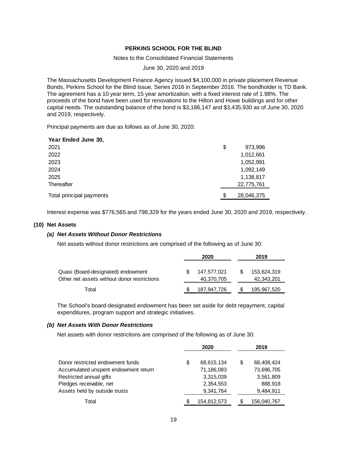#### Notes to the Consolidated Financial Statements

June 30, 2020 and 2019

The Massachusetts Development Finance Agency issued \$4,100,000 in private placement Revenue Bonds, Perkins School for the Blind Issue, Series 2016 in September 2016. The bondholder is TD Bank. The agreement has a 10 year term, 15 year amortization, with a fixed interest rate of 1.98%. The proceeds of the bond have been used for renovations to the Hilton and Howe buildings and for other capital needs. The outstanding balance of the bond is \$3,186,147 and \$3,435,930 as of June 30, 2020 and 2019, respectively.

Principal payments are due as follows as of June 30, 2020:

| Year Ended June 30,      |    |            |
|--------------------------|----|------------|
| 2021                     | \$ | 973,996    |
| 2022                     |    | 1,012,661  |
| 2023                     |    | 1,052,991  |
| 2024                     |    | 1,092,149  |
| 2025                     |    | 1,138,817  |
| Thereafter               |    | 22,775,761 |
| Total principal payments | S  | 28,046,375 |

Interest expense was \$776,565 and 798,329 for the years ended June 30, 2020 and 2019, respectively.

#### **(10) Net Assets**

# *(a) Net Assets Without Donor Restrictions*

Net assets without donor restrictions are comprised of the following as of June 30:

|                                                                                   | 2020                      |    | 2019                      |
|-----------------------------------------------------------------------------------|---------------------------|----|---------------------------|
| Quasi (Board-designated) endowment<br>Other net assets without donor restrictions | 147,577,021<br>40,370,705 | -S | 153,624,319<br>42,343,201 |
| Total                                                                             | 187.947.726               |    | 195,967,520               |

The School's board-designated endowment has been set aside for debt repayment, capital expenditures, program support and strategic initiatives.

#### *(b) Net Assets With Donor Restrictions*

Net assets with donor restrictions are comprised of the following as of June 30:

|                                      |    | 2020        | 2019             |
|--------------------------------------|----|-------------|------------------|
| Donor restricted endowment funds     | \$ | 68,615,134  | \$<br>68,408,424 |
| Accumulated unspent endowment return |    | 71,186,083  | 73,696,705       |
| Restricted annual gifts              |    | 3,315,039   | 3,561,809        |
| Pledges receivable, net              |    | 2,354,553   | 888,918          |
| Assets held by outside trusts        |    | 9,341,764   | 9,484,911        |
| Total                                | S  | 154,812,573 | 156,040,767      |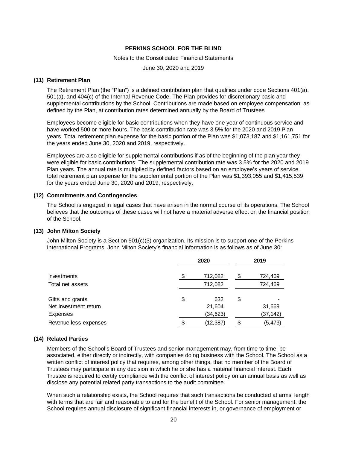Notes to the Consolidated Financial Statements

June 30, 2020 and 2019

#### **(11) Retirement Plan**

The Retirement Plan (the "Plan") is a defined contribution plan that qualifies under code Sections 401(a), 501(a), and 404(c) of the Internal Revenue Code. The Plan provides for discretionary basic and supplemental contributions by the School. Contributions are made based on employee compensation, as defined by the Plan, at contribution rates determined annually by the Board of Trustees.

Employees become eligible for basic contributions when they have one year of continuous service and have worked 500 or more hours. The basic contribution rate was 3.5% for the 2020 and 2019 Plan years. Total retirement plan expense for the basic portion of the Plan was \$1,073,187 and \$1,161,751 for the years ended June 30, 2020 and 2019, respectively.

Employees are also eligible for supplemental contributions if as of the beginning of the plan year they were eligible for basic contributions. The supplemental contribution rate was 3.5% for the 2020 and 2019 Plan years. The annual rate is multiplied by defined factors based on an employee's years of service. total retirement plan expense for the supplemental portion of the Plan was \$1,393,055 and \$1,415,539 for the years ended June 30, 2020 and 2019, respectively.

#### **(12) Commitments and Contingencies**

The School is engaged in legal cases that have arisen in the normal course of its operations. The School believes that the outcomes of these cases will not have a material adverse effect on the financial position of the School.

#### **(13) John Milton Society**

John Milton Society is a Section 501(c)(3) organization. Its mission is to support one of the Perkins International Programs. John Milton Society's financial information is as follows as of June 30:

|                       | 2020 |           | 2019 |           |
|-----------------------|------|-----------|------|-----------|
| <b>Investments</b>    | \$   | 712,082   | S    | 724,469   |
| Total net assets      |      | 712,082   |      | 724,469   |
| Gifts and grants      | \$   | 632       | \$   |           |
| Net investment return |      | 21,604    |      | 31,669    |
| <b>Expenses</b>       |      | (34, 623) |      | (37, 142) |
| Revenue less expenses | \$   | (12, 387) | \$   | (5, 473)  |

#### **(14) Related Parties**

Members of the School's Board of Trustees and senior management may, from time to time, be associated, either directly or indirectly, with companies doing business with the School. The School as a written conflict of interest policy that requires, among other things, that no member of the Board of Trustees may participate in any decision in which he or she has a material financial interest. Each Trustee is required to certify compliance with the conflict of interest policy on an annual basis as well as disclose any potential related party transactions to the audit committee.

When such a relationship exists, the School requires that such transactions be conducted at arms' length with terms that are fair and reasonable to and for the benefit of the School. For senior management, the School requires annual disclosure of significant financial interests in, or governance of employment or